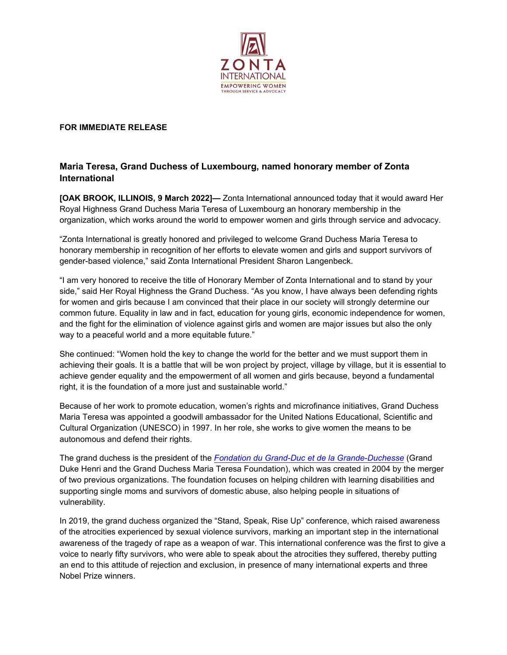

## **FOR IMMEDIATE RELEASE**

## **Maria Teresa, Grand Duchess of Luxembourg, named honorary member of Zonta International**

**[OAK BROOK, ILLINOIS, 9 March 2022]—** Zonta International announced today that it would award Her Royal Highness Grand Duchess Maria Teresa of Luxembourg an honorary membership in the organization, which works around the world to empower women and girls through service and advocacy.

"Zonta International is greatly honored and privileged to welcome Grand Duchess Maria Teresa to honorary membership in recognition of her efforts to elevate women and girls and support survivors of gender-based violence," said Zonta International President Sharon Langenbeck.

"I am very honored to receive the title of Honorary Member of Zonta International and to stand by your side," said Her Royal Highness the Grand Duchess. "As you know, I have always been defending rights for women and girls because I am convinced that their place in our society will strongly determine our common future. Equality in law and in fact, education for young girls, economic independence for women, and the fight for the elimination of violence against girls and women are major issues but also the only way to a peaceful world and a more equitable future."

She continued: "Women hold the key to change the world for the better and we must support them in achieving their goals. It is a battle that will be won project by project, village by village, but it is essential to achieve gender equality and the empowerment of all women and girls because, beyond a fundamental right, it is the foundation of a more just and sustainable world."

Because of her work to promote education, women's rights and microfinance initiatives, Grand Duchess Maria Teresa was appointed a goodwill ambassador for the United Nations Educational, Scientific and Cultural Organization (UNESCO) in 1997. In her role, she works to give women the means to be autonomous and defend their rights.

The grand duchess is the president of the *Fondation du Grand-Duc [et de la Grande-Duchesse](https://fondation-grand-ducale.lu/)* (Grand Duke Henri and the Grand Duchess Maria Teresa Foundation), which was created in 2004 by the merger of two previous organizations. The foundation focuses on helping children with learning disabilities and supporting single moms and survivors of domestic abuse, also helping people in situations of vulnerability.

In 2019, the grand duchess organized the "Stand, Speak, Rise Up" conference, which raised awareness of the atrocities experienced by sexual violence survivors, marking an important step in the international awareness of the tragedy of rape as a weapon of war. This international conference was the first to give a voice to nearly fifty survivors, who were able to speak about the atrocities they suffered, thereby putting an end to this attitude of rejection and exclusion, in presence of many international experts and three Nobel Prize winners.